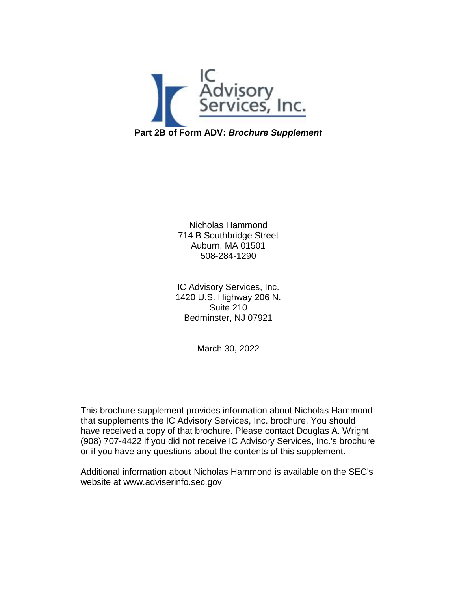

Nicholas Hammond 714 B Southbridge Street Auburn, MA 01501 508-284-1290

IC Advisory Services, Inc. 1420 U.S. Highway 206 N. Suite 210 Bedminster, NJ 07921

March 30, 2022

This brochure supplement provides information about Nicholas Hammond that supplements the IC Advisory Services, Inc. brochure. You should have received a copy of that brochure. Please contact Douglas A. Wright (908) 707-4422 if you did not receive IC Advisory Services, Inc.'s brochure or if you have any questions about the contents of this supplement.

Additional information about Nicholas Hammond is available on the SEC's website at www.adviserinfo.sec.gov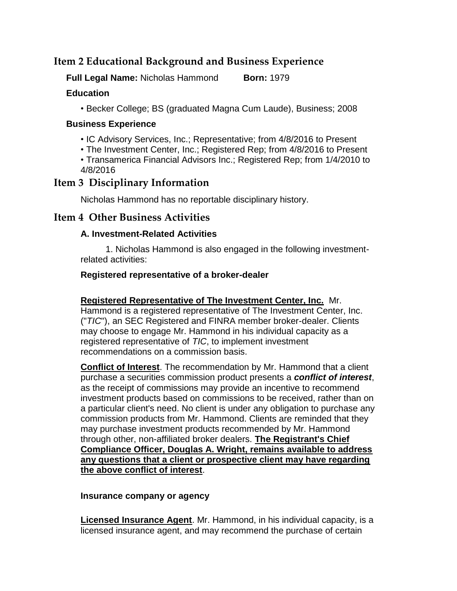# **Item 2 Educational Background and Business Experience**

**Full Legal Name:** Nicholas Hammond **Born:** 1979

### **Education**

• Becker College; BS (graduated Magna Cum Laude), Business; 2008

#### **Business Experience**

• IC Advisory Services, Inc.; Representative; from 4/8/2016 to Present

• The Investment Center, Inc.; Registered Rep; from 4/8/2016 to Present

• Transamerica Financial Advisors Inc.; Registered Rep; from 1/4/2010 to 4/8/2016

## **Item 3 Disciplinary Information**

Nicholas Hammond has no reportable disciplinary history.

# **Item 4 Other Business Activities**

## **A. Investment-Related Activities**

 1. Nicholas Hammond is also engaged in the following investmentrelated activities:

## **Registered representative of a broker-dealer**

**Registered Representative of The Investment Center, Inc.** Mr. Hammond is a registered representative of The Investment Center, Inc. ("*TIC*"), an SEC Registered and FINRA member broker-dealer. Clients may choose to engage Mr. Hammond in his individual capacity as a registered representative of *TIC*, to implement investment recommendations on a commission basis.

**Conflict of Interest**. The recommendation by Mr. Hammond that a client purchase a securities commission product presents a *conflict of interest*, as the receipt of commissions may provide an incentive to recommend investment products based on commissions to be received, rather than on a particular client's need. No client is under any obligation to purchase any commission products from Mr. Hammond. Clients are reminded that they may purchase investment products recommended by Mr. Hammond through other, non-affiliated broker dealers. **The Registrant's Chief Compliance Officer, Douglas A. Wright, remains available to address any questions that a client or prospective client may have regarding the above conflict of interest**.

### **Insurance company or agency**

**Licensed Insurance Agent**. Mr. Hammond, in his individual capacity, is a licensed insurance agent, and may recommend the purchase of certain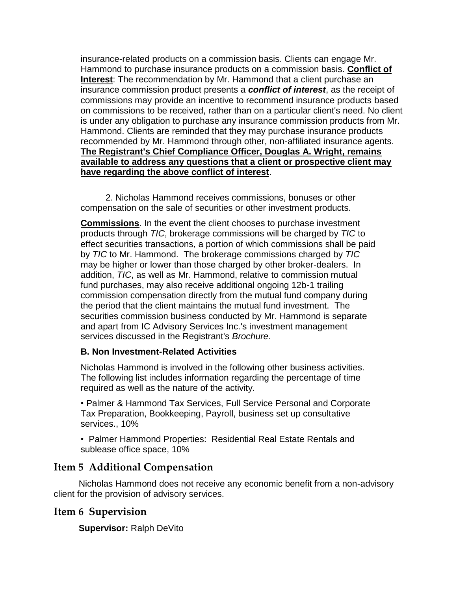insurance-related products on a commission basis. Clients can engage Mr. Hammond to purchase insurance products on a commission basis. **Conflict of Interest**: The recommendation by Mr. Hammond that a client purchase an insurance commission product presents a *conflict of interest*, as the receipt of commissions may provide an incentive to recommend insurance products based on commissions to be received, rather than on a particular client's need. No client is under any obligation to purchase any insurance commission products from Mr. Hammond. Clients are reminded that they may purchase insurance products recommended by Mr. Hammond through other, non-affiliated insurance agents. **The Registrant's Chief Compliance Officer, Douglas A. Wright, remains available to address any questions that a client or prospective client may have regarding the above conflict of interest**.

 2. Nicholas Hammond receives commissions, bonuses or other compensation on the sale of securities or other investment products.

**Commissions**. In the event the client chooses to purchase investment products through *TIC*, brokerage commissions will be charged by *TIC* to effect securities transactions, a portion of which commissions shall be paid by *TIC* to Mr. Hammond. The brokerage commissions charged by *TIC* may be higher or lower than those charged by other broker-dealers. In addition, *TIC*, as well as Mr. Hammond, relative to commission mutual fund purchases, may also receive additional ongoing 12b-1 trailing commission compensation directly from the mutual fund company during the period that the client maintains the mutual fund investment. The securities commission business conducted by Mr. Hammond is separate and apart from IC Advisory Services Inc.'s investment management services discussed in the Registrant's *Brochure*.

#### **B. Non Investment-Related Activities**

Nicholas Hammond is involved in the following other business activities. The following list includes information regarding the percentage of time required as well as the nature of the activity.

• Palmer & Hammond Tax Services, Full Service Personal and Corporate Tax Preparation, Bookkeeping, Payroll, business set up consultative services., 10%

• Palmer Hammond Properties: Residential Real Estate Rentals and sublease office space, 10%

## **Item 5 Additional Compensation**

 Nicholas Hammond does not receive any economic benefit from a non-advisory client for the provision of advisory services.

### **Item 6 Supervision**

**Supervisor:** Ralph DeVito